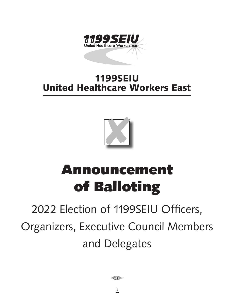

## 1199SEIU United Healthcare Workers East



# Announcement of Balloting

# 2022 Election of 1199SEIU Officers, Organizers, Executive Council Members and Delegates

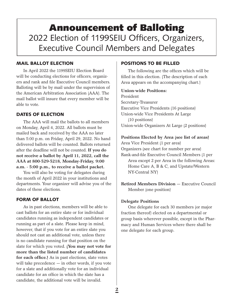## Announcement of Balloting 2022 Election of 1199SEIU Officers, Organizers, Executive Council Members and Delegates

## MAIL BALLOT ELECTION

In April 2022 the 1199SEIU Election Board will be conducting elections for officers, organizers and rank and file Executive Council members. Balloting will be by mail under the supervision of the American Arbitration Association (AAA). The mail ballot will insure that every member will be able to vote.

## DATES OF ELECTION

The AAA will mail the ballots to all members on Monday, April 4, 2022. All ballots must be mailed back and received by the AAA no later than 5:00 p.m. on Friday, April 29, 2022. No hand delivered ballots will be counted. Ballots returned after the deadline will not be counted. **If you do not receive a ballot by April 11, 2022, call the AAA at 800-529-5218, Monday-Friday, 9:00 a.m. - 5:00 p.m., to receive a ballot packet.**

You will also be voting for delegates during the month of April 2022 in your institutions and departments. Your organizer will advise you of the dates of these elections.

## FORM OF BALLOT

As in past elections, members will be able to cast ballots for an entire slate or for individual candidates running as independent candidates or running as part of a slate. Please keep in mind, however, that if you vote for an entire slate you should not cast an additional vote, unless there is no candidate running for that position on the slate for which you voted. **(You may not vote for more than the listed number of candidates for each office.)** As in past elections, slate votes will take precedence — in other words, if you vote for a slate and additionally vote for an individual candidate for an office in which the slate has a candidate, the additional vote will be invalid.

## POSITIONS TO BE FILLED

The following are the offices which will be filled in this election. (The description of each Area appears on the accompanying chart.)

### **Union-wide Positions:**

President Secretary-Treasurer Executive Vice Presidents (16 positions) Union-wide Vice Presidents At Large (10 positions) Union-wide Organizers At Large (2 positions)

### **Positions Elected by Area (see list of areas)**

Area Vice President (1 per area) Organizers (see chart for number per area) Rank-and-file Executive Council Members (1 per Area except 2 per Area in the following Areas: Home Care A, B & C, and Upstate/Western NY-Central NY)

**Retired Members Division** — Executive Council Member (one position)

## **Delegate Positions**

One delegate for each 30 members (or major fraction thereof) elected on a departmental or group basis wherever possible, except in the Pharmacy and Human Services where there shall be one delegate for each group.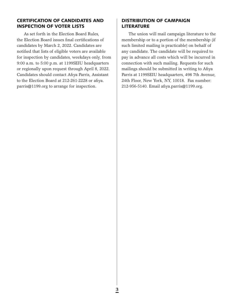## CERTIFICATION OF CANDIDATES AND INSPECTION OF VOTER LISTS

As set forth in the Election Board Rules, the Election Board issues final certifications of candidates by March 2, 2022. Candidates are notified that lists of eligible voters are available for inspection by candidates, weekdays only, from 9:00 a.m. to 5:00 p.m. at 1199SEIU headquarters or regionally upon request through April 8, 2022. Candidates should contact Afiya Parris, Assistant to the Election Board at 212-261-2228 or afiya. parris@1199.org to arrange for inspection.

## DISTRIBUTION OF CAMPAIGN LITERATURE

The union will mail campaign literature to the membership or to a portion of the membership (if such limited mailing is practicable) on behalf of any candidate. The candidate will be required to pay in advance all costs which will be incurred in connection with such mailing. Requests for such mailings should be submitted in writing to Afiya Parris at 1199SEIU headquarters, 498 7th Avenue, 24th Floor, New York, NY, 10018. Fax number: 212-956-5140. Email afiya.parris@1199.org.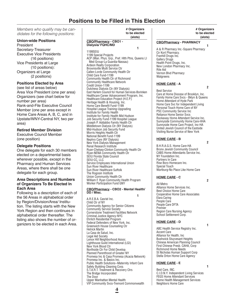## **Positions to be Filled in This Election**

**1 1 1 1 1 1 1** 

Med Group-La Guardia-Nassau) Ardeon Realty Corporation Brownsville Multi Service Ctr Callen-Lorde Community Health Ctr

Community Health Ctr of Richmond Community Healthcare Network

Dutchess Dialysis Ctr (NY Dialysis)

Institute for Family Health Mid Hudson Job Security Fund-1199 Hospital League Joseph P. Addabbo Family Health Ctr Middletown Dialysis Ctr (NY Dialysis) Mid-Hudson Job Security Fund Morris Heights Health Ctr National Benefit Fund-1199 Nephro Care (NY Dialysis) New York Dialysis Management Renal Research Institute

Ryan-Chelsea-Clinton Community Health Ctr Ryan-NENA Community Health Ctr SEIU Florida State Council

William F. Ryan Community Health Program

**1 1 1 1 1 1 1** 

Community Agency for Senior Citizens Community Service Society

Criminal Justice Agency-NYC Ehrlich Residential Program Federal Defenders of New York, Inc. Greenwich House Counseling Ctr

Lenox Hill Neighborhood Assoc. Lighthouse Guild International (LGI)

Northside Ctr For Child Develop. Planned Parenthood of Greater NY

Promesa Inc. & Basics Inc.

The Bridge Incorporated

The Door

Safety Building Cleaning Corp. S.T.A.R.T. Treatment & Recovery Ctrs

Upper Manhattan Mental Health

Cornerstone Treatment Facilities Network

**CBO/Pharmacy - CBO2 - Mental Health/** 

Worker Participation Fund GNY

Service Employees International Union

ACP (Man. Phys. Grp., Pref. Hlth Ptns, Queens LI

East Harlem Council for Human Services-Borinken Healthcare Career Advancement Program, Inc. Healthcare Education Project (H.E.P.) Heritage Health & Housing, Inc. Home Care Benefit Fund-1199 Hospital League Training-Upgrading Institute for Family Health

**CBO/Pharmacy - CBO1 - Dialysis/ FQHC/MD**

1199 Special Projects

Child Care Fund-1199

Credit Union-1199

SEIU-CC, LLC

**DD / Misc.**

Hetrick Martin La Casa de Salud, Inc. Legal Aid Society

New York Blood Ctr

Sun River Healthcare Sun River Healthcare Suffolk The Rogosin Institute Union Community Health Ctr

A.R.E.B.A. Casriel Inc. Child Ctr of NY

1199SEIU

*Members who qualify may be candidates for the following positions:*

#### **Union-wide Positions**

President Secretary-Treasurer Executive Vice Presidents (16 positions) Vice Presidents at Large (10 positions): Organizers at Large (2 positions)

#### **Positions Elected by Area**

(see list of areas below) Area Vice President (one per area) Organizers (see chart below for number per area) Rank-and-File Executive Council Member (one per area except in Home Care Areas A, B, C, and in Upstate/WNY-Central NY, two per area)

#### **Retired Member Division**

Executive Council Member (one position)

#### **Delegate Positions**

One delegate for each 30 members elected on a departmental basis wherever possible, except in the Pharmacy and Human Services Areas, where there shall be one delegate for each group.

#### **Area Descriptions and Numbers of Organizers To Be Elected In Each Area**

Following is a description of each of the 56 Areas in alphabetical order by Region/Division/Area/ Institution. The listing starts with the New York Region and then continues in alphabetical order thereafter. The listing also shows the number of organizers to be elected in each Area.

#### **# Organizers to be elected (slots)**

#### **# Organizers to be elected (slots)**

#### **CBO/Pharmacy - PHARMACY**

**1 1 1 1 1 1 1** A & R Pharmacy Inc.-Square Pharmacy Cir Kort Pharmacy. Franhill Drugs Inc. Gallery Drugs Health Point Drugs, Inc. New London Pharmacy Inc. Rite Aid Vernon Blvd Pharmacy **Walgreens** 

#### **HOME CARE - A 2**

Best Service Care at Home Diocese of Brooklyn, Inc. Family Home Care Svcs - Bklyn & Queens Home Attendant of Hyde Park Home Care Svc for Independent Living Personal Touch Home Care of NY PSC Community Service Inc Reliance Home Senior Svcs Rockaway Home Attendant Service Inc. Sunnyside Community Home Care-HHA Sunnyside Home Care Project, Inc-HA United Jewish Council of the Eastside Visiting Nurse Service of New York

#### **HOME CARE - B**

 **2** B.H.R.A.G.S. Home Care-HA Bronx Jewish Community Council CABS Home Attendants Service Inc. NY Foundation Inc. Partners In Care Rise Boro Homecare Inc. Special Touch Wartburg-No Place Like Home Care

#### **HOME CARE - C**

 **2** All Metro Alliance Home Services Inc. Best Choice Home Care Cooperative Home Care Associates Elara Caring People Care People Care DFTA Premier Region Care Nursing Agency School Settlement Corp.

#### **HOME CARE - D**

**1 1 1 1 1 1 1** ABC Health Service Registry Inc. Accent Care Alliance for Health, Inc Bushwick Stuyvesant Heights Chinese American Planning Council First Chinese Presb. CAHA, Corp Richmond Home Needs St Nicholas Human Support Corp Stella Orton Home Care Agency

#### **HOME CARE - E**

**1 1 1 1 1 1 1** Best Care, INC. C.I.D.N.Y. Independent Living Services FEGS Home Attendant Services Home Health Management Services Neighbors Home Care

**4** VIP Community Svcs-Tremont Commonwealth

Promesa Inc & Casa Promesa (Acacia Network)

Public Health Solutions--Maternity Infant Care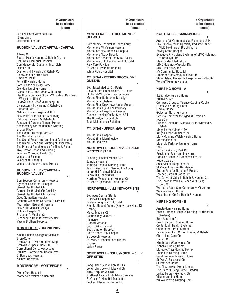R.A.I.N. Home Attendant Inc. **Riverspring** Unlimited Care, Inc.

#### **HUDSON VALLEY/CAPITAL - CAPITAL 1 1 1 1 1 1 1**

Albany Ctr Baptist Health Nursing & Rehab Ctr, Inc. Columbia Memorial Hospital Confidence Mgt Systems, Inc. (CM) Delmar Ctr Diamond Hill Nursing & Rehab. Ctr Elderwood at North Creek Emblem Health Ferncliff Nursing Home Fort Hudson Nursing Home Glendale Nursing Home Glens Falls Ctr for Rehab & Nursing Healthcare Services Group (Wingate at Dutchess, Wingate at Ulster) Hudson Park Rehab & Nursing Ctr Livingston Hills Nursing & Rehab Ctr Lutheran Care Ctr Nathan Littauer Hospital & N.H. New Paltz Ctr for Rehab & Nursing Pathways Nursing & Rehab Ctr Rosewood Gardens Nursing Home Schenectady Ctr for Rehab & Nursing Shaker Place The Eleanor Nursing Care Ctr The Grand at Pawling The Grand Rehab and Nursing at Guilderland The Grand Rehab and Nursing at River Valley The Pines at Poughkeepsie Ctr Nsg & Rehab Troy Ctr for Rehab and Nursing Whitney M. Young Health Ctr Wingate at Beacon Wingate at Dutchess Wingate at Ulster Nursing Homes

#### **HUDSON VALLEY/CAPITAL - HUDSON VALLEY**

**1 1 1 1 1 1 1** 

Bon Secours Community Hospital Blythedale Children's Hospital Garnet Health Med. Ctr Garnet Health Med. Ctr-Catskills Garnet Health Med. Ctr Doctors Good Samaritan Hospital Graham-Windham Services To Families MidHudson Regional Hospital New York Medical College Putnam Hospital Ctr St Joseph's Medical Ctr St Vincent's Hospital-Westchester Vassar Brothers Hospital

#### **MONTEFIORE - BRONX INDY 1 1 1 1 1 1 1**

Albert Einstein College of Medicine BronxCare BronxCare Dr. Martin Luther King BronxCare Special Care Ctr Correctional Dental Associates PAGNY - Correctional Health Svcs. St Barnabas Hospital Yeshiva University

#### **MONTEFIORE - MONTEFIORE**

**1 1 1 1 1 1 1** Montefiore Hospital Montefiore-Wakefield Campus

#### **MONTEFIORE - OTHER MONTE/ OFF-SITE**

**1 1 1 1 1 1 1** Community Hospital at Dobbs Ferry Montefiore Mt Vernon Hospital Montefiore New Rochelle Hospital Montefiore Nyack Hospital Montefiore Schaffer Ext. Care Facility Montefiore St Lukes Cornwall Hospital Park Care Pavilion St John's Riverside Hospital White Plains Hospital

#### **MT. SINAI - PETRIE/ BROOKLYN/ QUEENS**

**1 1 1 1 1 1 1** Beth Israel Medical Ctr Petrie CIOX at Beth Israel Medical Ctr Petrie Elmhurst-Mt. Sinai Hosp. Services Mount Sinai Beth Israel Brooklyn Mount Sinai-Chelsea Mount Sinai Downtown Union Square Mount Sinai Eye & Ear Infirmary Mount Sinai Hospital of Queens Queens Hospital Ctr-Mt Sinai Affil The Brooklyn Hospital Ctr Total Maintenance Solutions

#### **MT. SINAI - UPPER MANHATTAN**

**1 1 1 1 1 1 1** Mount Sinai Hospital Mount Sinai Morningside Mount Sinai West

#### **NORTHWELL - QUEENS/LI/LENOX/ WESTCHESTER**

**1 1 1 1 1 1 1** Flushing Hospital Medical Ctr Jamaica Hospital Jamaica Hospital Nursing Home Jewish Association Serving the Aging Lenox Hill Greenwich Village Lenox Hill Hospital/MEETH Northern Westchester Hospital Ctr St John's Episcopal-South Shore

## **NORTHWELL - LI/LI INDY/OFF-SITE**

**1 1 1 1 1 1 1** Bethpage Central Sterile Brunswick Hospital Ctr Eastern Long Island Hospital Faculty-Student Assoc. (Stonybrook Hosp-Dietary) Mercy Medical Ctr Peconic Bay Medical Ctr Plainview Propark America South Oaks Hospital Southampton Hospital South Shore Univ Hospital St. Joseph Hospital St. Mary's Hospital For Children Syosset Valley Stream

#### **NORTHWELL - NSLIJ (NORTHWELL)/ OFF-SITES**

**1 1 1 1 1 1 1** 

Long Island Jewish Forest Hills Long Island Jewish Medical Ctr MRO Corp. (f/k/a CIOX) Northwell Health Ambulatory Services St Vincent's Hospital-Manhattan Zucker Hillside Division of LIJ

#### **NORTHWELL - MAIMO/SIUH/SI**

**1 1 1 1 1 1 1** Aramark (at Maimonides, at Richmond Univ) Bay Parkway Multi-Specialty Pediatric Ctr of MMC Holdings of Brooklyn, Inc. Bayley Seton Hospital Executive Physicians Systems of MMC Holdings of Brooklyn, Inc. Maimonides Medical Ctr MMC Holdings-Vascular Div. MMC Pharmacy Inc. NY Community Hospital Richmond University Medical Ctr Staten Island University Hospital-North-South Wyckoff Heights Hospital

#### **NURSING HOME - A**

**1 1 1 1 1 1 1** Bainbridge Nursing Home Bushwick Ctr Compass Group at Terence Cardinal Cooke Easthaven Nursing Home Findlay House Goldcrest Nursing Home Hebrew Home for the Aged at Riverdale Hope Ctr Hudson Pointe at Riverdale Ctr for Nursing & Rehab Kings Harbor Manor-LPN Kings Harbor Multicare Ctr Mary Manning Walsh Nursing Home Morningside Ctr Mosholu Parkway Nursing Home PACE Pinnacle aka Bay Park Ctr Providence Rest Nursing Home Rebekah Rehab & Extended Care Ctr Regeis Care Ctr Schervier Nursing Care Ctr St Vincent De Paul Residence Sutton Park for Nursing & Rehab. Terence Cardinal Cooke Ctr The Grove at Valhalla Rehab & Nursing Ctr The Knolls at Valhalla Rehab & Nursing Triboro Ctr Wartburg Adult Care Community-Mt Vernon Wayne Nursing Home Westchester Ctr for Rehab & Nursing

#### **NURSING HOME - B 2**

Amsterdam Nursing Home Beach Gardens Rehab & Nursing Ctr (Hendon Gardens) Beth Abraham Ctr Bronx Gardens Nursing Home Center Light Health Systems Centers for Care at Martine Downtown Bklyn Ctr for Nursing & Rehab Glen Island Care Ctr Harlem Ctr Highbridge-Woodycrest Ctr Isabella Nursing Home Margaret Tietz Nursing Home Peninsula Nursing Home Sarah Neuman Nursing Home St Mary's Episcopal Ctr St Patrick's Home The New Jewish Home Lifecare The Plaza Nursing Home (Citadel) United Hebrew Geriatric Ctr Village Nursing Home Willow Towers Nursing Hom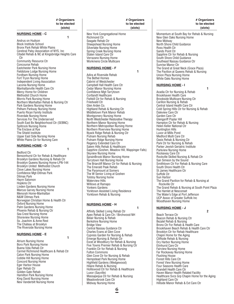#### **NURSING HOME - C**

**1 1 1 1 1 1 1** Andrus on Hudson Block Institute School Bronx Park Rehab White Plains Cerebral Palsy Association of NYS, Inc Citadel Rehab & NC at Kingsbridge Heights Care C<sub>tr</sub> Community Resource Ctr Concourse Rehab Eastchester Park Nursing Home Fieldstone Lodge Nursing Home Fordham Nursing Home Fort Tryon Nursing Home Independent Living Association Laconia Nursing Home Manhattanville Health Care Ctr Mercy Home for Children Methodist Church Home Morris Park Nursing Home Northern Manhattan Rehab & Nursing Ctr Park Gardens Nursing Home Pelham Parkway Nursing Home Puerto Rican Family Institute Riverdale Nursing Home Services For The Underserved South East Bx Neighborhood Ctr (SEBNC) Splitrock Nursing Home The Enclave at Rye The Shield Institute Upper East Side Nursing Home White Plains Ctr for Nursing Care

#### **NURSING HOME - D**

Bedford Ctr Bensonhurst Ctr for Rehab & Healthcare Brooklyn Gardens Nursing & Rehab Ctr Brooklyn Queens Nursing Home-LPN-144 Brooklyn United Methodist Church Clove Lakes Nursing Home Confidence Mgt-Ditmas Park Ditmas Park Haym Salomon Hopkins Ctr Linden Gardens Nursing Home Marcus Garvey Nursing Home Menorah Home-Manhattan N&W Ditmas Park Norwegian Christian Home & Health Ctr Oxford Nursing Home Palm Gardens Nursing Home Phoenix Rehab & Nursing Ctr Sea Crest Nursing Home Shoreview Nursing Home Ss. Joachim & Anne Rest The Chateau at Brooklyn The Riverside Nursing Home

**1 1 1 1 1 1 1** 

#### **NURSING HOME - E 1 1 1 1 1 1 1**

Atrium Nursing Home Boro Park Nursing Home Buena Vida Rehab Ctr Carmel Richmond Healthcare & Rehab Ctr Caton Park Nursing Home Cobble Hill Nursing Home Concord Nursing Home Eger Harbor House Eger Rehab Ctr Golden Gate Rehab Hamilton Park Nursing Home King David Nursing Home New Vanderbilt Nursing Home

New York Congregational Home Richmond Ctr Seagate Rehab Ctr Sheepshead Nursing Home Silverlake Nursing Home Spring Creek Nursing Home Staten Island Care Ctr Verrazano Nursing Home Workmens Circle Multicare **NURSING HOME - F 1 1 1 1 1 1 1** Adira at Riverside Rehab The Bethel Homes Cabrini of Westchester Campbell Hall Health Care Ctr Cedar Manor Nursing Home Confidence Mgt-Tarrytown Cortlandt Healthcare Fishkill Ctr for Rehab & Nursing Friedwald Ctr Glen Arden Co. Highland Rehab & Nursing Ctr Middletown Park Manor Rehab Montgomery Nursing Home North Westchester Restorative Therapy Northern Manor Nursing Home Northern Metropolitan Nursing Home Northern Riverview Nursing Home Nyack Ridge Rehab & Nursing Ctr Putnam Nursing Rehab Putnam Ridge Nursing Home Regency Extended Care Ctr Salem Hills Rehab & Healthcare Sapphire (Goshen, Meadow Hill, Wappinger Falls) Skyview Nursing Home SprainBrook Manor Nursing Home Tarrytown Hall Nursing Home The Briarcliff Manor Ctr for Rehab & Nursing The Emerald Peak Rehab The Paramount at Somers The W Senior Living at Goshen Tolstoy Nursing home Waterview Hills Willows at Ramapo Yonkers Gardens Yorktown Assisted Living Residence Yorktown Rehab & Nursing

#### **NURSING HOME - H**

**1 1 1 1 1 1 1** Affinity Skilled Living Rehab Ctr Apex Rehab & Care Ctr / Birchwood NH Belair Nursing & Rehab Berkshire Nursing Home Bridge View Central Nassau Guidance Ctr Charles Evans at Glen Cove Cypress Garden for Nursing & Rehab Emerge Nursing & Rehab Ctr Excel at Woodbury for Rehab & Nursing Five Towns Premier Rehab & Nursing Ctr Franklin Ctr for Rehab & Nursing Fulton Commons Glen Cove Ctr for Nursing & Rehab Hempstead Park Nursing Home Highfield Gardens (Wedgewood) Hilaire Rehab & Nursing Holliswood Ctr for Rehab & Healthcare Luxor (Sayville) Massapequa Ctr for Rehab & Nursing Meadowbrook Care Ctr Midway Nursing Home

 **# Organizers to be elected (slots)**

#### **# Organizers to be elected (slots)**

Momentum at South Bay for Rehab & Nursing New Glen Oaks Nursing Home New Midway North Shore Child Guidance Ross Health Ctr Sands Point Ctr Sapphire Ctr for Rehab & Nursing South Shore Child Guidance Southeast Nassau Guidance Ctr Sunrise Manor Ctr The Grand at Great Neck (Grace Plaza) The Pavilion at Queens Rehab & Nursing Union Plaza Nursing Home White Oaks Nursing Home

#### **NURSING HOME - I**

**1 1 1 1 1 1 1** Acadia Ctr for Nursing & Rehab Brookhaven Health Care Brookside Multicare Nursing Ctr Carillon Nursing & Rehab Central Island Health Care Ctr Cold Spring Hills Ctr for Nursing & Rehab Daleview Care Ctr Garden Care Ctr Glengariff Poplar Hill Hampton Ctr for Rehab & Nursing Helen Keller National Ctr Huntington Hills Luxor at Mills Pond Medford Multi Care Ctr Oasis Rehab & Nursing Ctr Park Ctr for Nursing & Rehab Parker Jewish Geriatric Institute Parkview Nursing Home Rockaway Care Ctr Rockville Skilled Nursing & Rehab Ctr San Simeon by the Sound Smithtown Ctr For Rehab & Nursing Care South Shore Health Ctr St James Healthcare Ctr Suffolk Ctr Sun Harbor The Grand Pavilion for Rehab & Nursing at Rockville Ctr The Grand Rehab & Nursing at South Point Plaza The Hamlet at Nesconset The Water's Edge at Port Jefferson UCP Assoc of Greater Suffolk Inc Woodhaven Nursing Home

#### **NURSING HOME - J**

 **2**

Beach Terrace Ctr Beacon Rehab & Nursing Ctr Bezalel Rehab & Nursing Bronx Ctr For Rehab & Health Care Brookhaven Beach Rehab & Health Care Ctr Brooklyn Ctr for Rehab Healthcare Chapin Home for the Aging Cliffside Rehab & Nursing Dry Harbor Nursing Home Elmhurst Care Ctr Fairview Nursing Home Far Rockaway Nursing Home Flushing House Forest Hills Care Ctr Forest View Nursing Home Four Seasons Health Care Grandell Health Care Ctr Haven Manor Health Related Facility Healthcare Svcs Grp Chapin Home for the Aging Highland Care Ctr Hillside Manor Rehab & Ext Care Ctr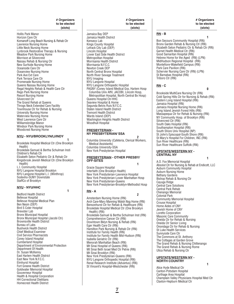> Jamaica Bay DEP Jamaica Health District Kenseco Lab Kings County Hospital Lefrack City Lab (DEP) Lincoln Hospital

NYU Imaging NYU Langone Hospital

Lower East Side Health District Metropolitan Hospital Morrisania Health District Morrisania N.F.C.C. Newton Creek DEP North Central Bronx Hospital North River Sewage Treatment

NYU Langone Orthopedic Hospital

Washington Heights Health District

 **2** Columbia University (Cafeteria, Clerical Workers,

**PRESBYTERIAN - OTHER PRESBY/** 

**1 1 1 1 1 1 1** 

 **2** Amsterdam Nursing Home (RN)

New York Presbyterian-Brooklyn-Methodist Hosp

Arch Care-Mary Manning Walsh Nsg Home (RN) Bensonhurst Ctr for Rehab & Healthcare (RN) Brookdale Hospital Medical Ctr (One Brooklyn

Brookdale-Samuel & Bertha Schulman Inst (RN)

Hamilton Park Nursing & Rehab Ctr (RN) Institute for Family Health (RN)

New York Presbyterian-Queens (RN) NYU Langone Orthopedic Hospital (RN) Renal Research Institute (Advantus) (RN) St Vincent's Hospital-Westchester (RN)

Institute for Family Health Mid-Hudson (RN)

Queens Hospital Ctr-HHC Seaview Hospital & Home Segunda Belvis Ruis N.F.C.C. Staten Island Health District Tremont Health District Wards Island (DEP)

Woodhull Hospital **PRESBYTERIAN - NY PRESBYTERIAN/ SSA**

Medical Assistants) Columbia University-SSA New York Presbyterian Hospital

Gracie Square Hospital Interfaith (One Brooklyn Health) New York Presbyterian-Lawrence Hospital New York Presbyterian-Lower Manhattan Hosp

New York Presbyterian-Queens

Comprehensive Cancer Ctr (RN) Downtown Bklyn Nursing & Rehab (RN)

Eger Health Care Ctr (RN)

Isabella Geriatric Ctr (RN) Menorah Manhattan Beach (RN) Mt Sinai Hospital of Queens (RN) Mt Sinai Beth Israel Med Ctr Petrie (RN)

Mt Sinai Brooklyn (RN)

**OFF-SITES**

**RN - A**

Health) (RN)

PAGNY (Coney Island Medical Grp, Harlem Hosp Columbia Univ Affil, JACOBI, Lincoln Hosp, Metropolitian Hospital, North Central Bx Hosp)

Hollis Park Manor Horizon Care Ctr Komanoff Long Beach Nursing & Rehab Ctr Lawrence Nursing Home Little Neck Nursing Home Lynbrook Restorative Therapy & Nursing Meadow Park Nursing Home Morrison at Silvercrest Nassau Rehab & Nursing Ctr New Surfside Nursing Home Oceanside Care Ctr Oceanview Nursing Home Park Ave Ext Care Park Terrace Care Ctr Promenade Nursing Home Queens Nassau Nursing Home Regal Heights Rehab & Health Care Ctr Rego Park Nursing Home Resort Nursing Home Silvercrest Ctr The Grand Rehab at Queens Throgs Neck Extended Care Facility Townhouse Ctr for Rehab & Nursing University Nursing Home Waterview Nursing Home West Lawrence Care Ctr Williamsbridge Manor Windsor Park Nursing Home Woodcrest Nursing Home

#### **NYU - NYU/BROOKLYN/LI/INDY**

**1 1 1 1 1 1 1** Brookdale Hospital Medical Ctr (One Brooklyn Health) Brookdale-Samuel & Bertha Schulman Insti Children's Rehab Ctr Elizabeth Seton Pediatric Ctr & Rehab Ctr Kingsbrook Jewish Medical Ctr (One Brooklyn Health) L.I. Community Hospital NYU Langone Hospital Brooklyn NYU Langone Hospital L.I. (Winthrop) Sodexho-SUNY Downstate StaffCo of Brooklyn

#### **NYU - NYU/HHC**

**1 1 1 1 1 1 1** Bedford Health District Bellevue Hospital Bellevue Hospital Medical Plan Ben Nesin (DEP) Bird S Coler Hospital Brewster Lab Bronx Municipal Hospital Bronx Municipal Hospital (Jacobi Ctr) Brownsville Health District Bureau of Labs Bushwick Health District Chief Medical Examiner Civil Service Pharmacists Coney Island Hospital Cumberland Hospital Department of Environmental Protection Department Of Health Dr. Susan McKenny East Harlem Health District East New York N.F.C.C. Elmhurst Hospital Fort Greene Health District Goldwater Memorial Hospital Gouverneur Hospital Health & Hospital Corporation HH Correctional Dietitians Homecrest Health District

 **# Organizers to be elected (slots)**

 **# Organizers to be elected (slots)**

#### **RN - B**

**1 1 1 1 1 1 1** Bon Secours Community Hospital (RN) Bronx Garden Rehab & Nursing Ctr (RN) Elizabeth Seton Pediatric Ctr & Rehab Ctr (RN) Garnet Health Medical Ctr (RN) Good Samaritan Hospital (RN) Hebrew Home for the Aged (RN) (LPN) MidHudson Regional Hospital (RN) Montefiore-Wakefield Campus (RN) Park Care Pavilion (RN) Schervier Nursing Care Ctr (RN) (LPN) St Barnabas Hospital (RN) Triboro Ctr (RN)

#### **RN - C**

**0** Brookside MultiCare Nursing Ctr (RN) Cold Spring Hills Ctr for Nursing & Rehab (RN) Eastern Long Island Hospital (RN) Jamaica Hospital (RN) Jamaica Hospital Nursing Home (RN) Long Island Jewish Forest Hills (RN) Massapequa Ctr for Rehab & Nursing (RN) NY Community Hosp. of Brooklyn (RN) Silvercrest Ctr (RN) South Oaks Hospital (RN) Southampton Hospital (RN) South Shore Univ Hospital (NP) St John's Episcopal-South Shore (RN) St Mary's Hospital For Children, INC (RN) Sun River Healthcare (RN) Sun River Healthcare Suffolk (RN)

#### **UPSTATE/WESTERN NY - CENTRAL NY**

**1 1 1 1 1 1 1** 

A.O. Fox Memorial Hospital Absolut Ctr for Nursing & Rehab at Endicott, LLC Auburn Community Hospital Auburn Nursing Home Bethany Gardens Bishop Rehab & Nursing Ctr Cayuga Ridge Central Care Solutions Central Park Rehab Chenango Memorial Colonial Park Community Memorial Hospital Crouse Hospital Home Aides of CNY Jewish Home of CNY Loretto Corporation Masonic Care Community Oneida Ctr for Rehab & Nursing Oneida Ctr Senior Living Onondaga Ctr for Rehab & Nursing St Luke Health Services Sunnyside Care Ctr The Commons at St. Anthony The Cottages at Garden Grove The Grand Rehab & Nursing Chittenango The Grand Rehab & Nursing Rome Utica Rehab & Nursing Ctr

#### **UPSTATE/WESTERN NY - NORTH COUNTRY**

**1 1 1 1 1 1 1** 

Alice Hyde Medical Ctr Canton-Potsdam Hospital Carthage Area Hospital Champlain Valley Physicians Hospital Med Ctr Claxton-Hepburn Medical Ctr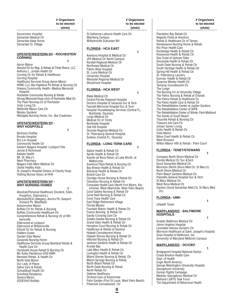Gouverneur Hospital Samaritan Medical Ctr Samaritan Keep Home Samaritan Sr. Village

#### **UPSTATE/WESTERN NY - ROCHESTER/ CORNING**

**1 1 1 1 1 1 1** Aaron Manor Absolut Ctr for Nsg. & Rehab at Three Rivers, LLC Anthony L. Jordan Health Ctr Corning Ctr for Rehab & Healthcare Corning Hospital Healthcare Services Group Aaron Manor HRNC LLC dba Highland Pk Rehab & Nursing Ctr Orleans Community Health--Medina Memorial Hospital Rochester Community Nursing & Rehab Strong Memorial Hosp-Univ of Rochester Med Ctr The Pearl Nursing Ctr of Rochester Unity Living Ctr Wellsville Manor Care Ctr Wesley Gardens Westgate Nursing Home, Inc. dba Creekview

#### **UPSTATE/WESTERN NY - WNY HOSPITALS**

**1 1 1 1 1 1 1** Bertrand Chaffee Brooks Hospital Bry-Lin Hospital Community Health Ctr Eastern Niagara Hospital -Lockport Site Jennie B Richmond Kaleida Health Mt. St. Mary's Nash Pharmacy Niagara Falls Mem Medical Ctr Oishei Healthy Kids St Joseph's Hospital-Sisters of Charity Hosp Visiting Nurses Assoc at HHA

#### **UPSTATE/WESTERN NY - WNY NURSING HOMES**

**1 1 1 1 1 1 1** Absolute/Personal Healthcare (Dunkirk, Eden, Houghton, Salamanca,) Absolute/RCA (Allegany, Aurora Pk, Gasport, Orchard Pk, Westfield) Autumnview Manor Buffalo Ctr for Rehab & Nursing Buffalo Community Healthcare Ctr Comprehensive Rehab & Nursing Ctr at Williamsville Elderwood at Lockport Elderwood at Williamsville Ellicott Ctr for Rehab & Nursing Fiddlers Green Garden Gate Manor Gowanda Nursing Home Healthcare Services Group Newfane Rehab & Health Care Ctr Humboldt House Rehab & Nursing Ctr Mc Auley Residence-CHS-KMH Newfane Rehab. & Health Ctr North Gate Manor Our Lady of Peace Safire Care & Rehab Schoellkopf Health Ctr Schofield Residence Seneca Manor SODEXHO-Buffalo

#### **# Organizers to be elected (slots)**

St Catherine Laboure Health Care Ctr Weinberg Campus Williamsville Suburban NH

#### **FLORIDA - HCA EAST**

**1 1 1 1 1 1 1** Aventura Hospital & Medical Ctr JFK Medical Ctr North Campus Kendall Regional Medical Ctr Northwest Medical Ctr Palms West Hospital St. Lucie Medical Ctr University Hospital Westside Regional Medical Ctr Woodmont Hospital

#### **FLORIDA - HCA WEST**

**1 1 1 1 1 1 1** Blake Medical Ctr Central Florida Regional Hospital Doctors Hospital of Sarasota Svc & Tech Fawcett Memorial Hospital Svc & Tech Hospital Housekeeping Services (Central FL, Northside, Osceola) Largo Medical Ctr Medical Ctr of Trinity Northside Hospital Oak Hill Hospital Osceola Regional Medical Ctr St. Petersburg General Hospital Sodexo (Central FL, Osceola)

#### **FLORIDA - LONG TERM CARE**

**1 1 1 1 1 1 1** Alpine Health & Rehab Ctr Apollo Health & Rehab Ctr Avante (at Boca Raton, at Lake Worth, at Melbourne) Aventura Plaza Rehab & Nursing Ctr Bay Breeze Health & Rehab Ctr Biscayne Health & Rehab Ctr Bristol Care Ctr Claridge House Nursing & Rehab Ctr Clewiston Nursing & Rehab Ctr Consulate Health Care (North Fort Myers, Kissimmee, West Altamonte, West Palm Beach) Coral Gables Nursing & Rehab Ctr Coral Reef Nursing & Rehab Ctr Coral Trace Health Care East Ridge Retirement Village Florida Mentor Fountain Manor Health & Rehab Ctr Franco Nursing & Rehab Ctr Gandy Crossing Care Ctr Golden Glades Nursing & Rehab Ctr Grand Oaks Health & Rehab Ctr Hampton Court Nursing & Rehab Ctr Healthcare & Rehab of Sanford Hialeah Convalescent Home Hialeah Shores Nursing & Rehab Ctr Hillcrest Nursing & Rehab Ctr Jackson Gardens Health & Rehab Ctr Krystal Bay Lake Mary Health & Rehab Ctr Lexington Health & Rehab Ctr Miami Shores Nursing & Rehab. Ctr Miami Springs Nursing & Rehab North Beach Rehab Ctr North Dade Nursing & Rehab North Rehab Ctr Oaktree Healthcare Orchard Care of Kissimmee Palm Garden (Port St Lucie, West Palm Beach) Pinecrest Convalescent Ctr

 **# Organizers to be elected (slots)**

Plantation Bay Rehab Ctr Regents Parks at Aventura Rehab & Healthcare Ctr of Tampa Renaissance Nursing Home & Rehab Rio Pinar Health Care Rockledge Health & Rehab Ctr Rosewood Health & Rehab Ctr Sea Coast at Uptown Oaks Shoreside Health & Rehab Ctr South Dade Nursing & Rehab Ctr South Heritage Health & Rehab Ctr Spring Hill Health & Rehab Ctr St. Petersburg Laundry Sunrise Health & Rehab Ctr Susanna Wesley Health Ctr Tamarac Convalescent Ctr The Lodge The Nursing Ctr at University Village The Palms Nursing & Rehab at Orlando The Palms Rehab & Healthcare Ctr The Parks Health Care & Rehab Ctr The Rehabilitation Center at Jupiter Gardens The Rehabilitation Center of WPB The Rehabilitation Center of Winter Park-Maitland The Sands at South Beach Titusville Rehab & Nursing Ctr Treasure Isle Care Ctr Unisen Senior Living Unity Health & Rehab Ctr Vista Manor Wave Crest Health & Rehab Ctr West Broward Wilton Manor Hlth & Rehab - Palm Court

#### **FLORIDA - TENET/STEWARD**

**1 1 1 1 1 1 1** Compass North Shore Medical Ctr Florida Medical Ctr Svc &Tech Good Samaritan Medical Ctr Morrison (North Shore Med Ctr, St Mary's) North Shore Medical Ctr Palm Beach Gardens Medical Ctr Palmetto General Hospital Svc & Tech St Mary Medical Ctr West Boca Medical Ctr Xanitos (Good Samaritan Med Ctr, St Mary Med Ctr)

#### **FLORIDA - UMH**

**1 1 1 1 1 1 1** UHealth Tower

#### **MARYLAND/DC - BALTIMORE HOSPITALS**

**1 1 1 1 1 1 1** Greater Baltimore Medical Ctr Johns Hopkins Hospital Levindale Hebrew Geriatric Ctr Morrison Healthcare at Saint. Joseph's Hospital Sinai Hospital of Baltimore, Inc. University of Maryland Midtown Campus

#### **MARYLAND/DC - DC/CBO**

**1 1 1 1 1 1 1** Bridgepoint Hospital National Harbor Chase Brexton Health Care Dept. of Health Engie North America George Washington University Hospital Georgetown University Human Rights Campaign Medstar Georgetown Medical Ctr National LGBTQ Task Force The Department of Behavioral Health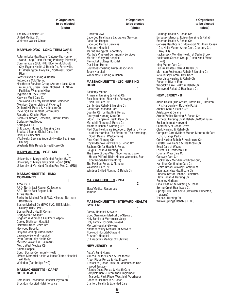Brockton VNA

Cape Cod Hospital Cape Cod Human Services Falmouth Hospital

Tobey Hospital

Academy Manor

Brush Hill Care Ctr

**HOME**

Marine Biological Laboratory Martha's Vineyard Community Services

Windemere Nursing & Rehab

Armenian Nursing & Rehab Ctr Bear Mountain (Blue Hills, Parkway)

Cambridge Rehab & Nursing Ctr Center for Extended Care Country Ctr for Health & Rehab Courtyard Nursing Care Ctr Edgar P. Benjamin Health Care Ctr Maristhill Nursing & Rehab Ctr Medford Rehab & Nursing Ctr

South Dennis, Wedgemere) Pine Knoll Nursing Ctr

don Woods-New Bedford) The Pavilion Rehab & Nursing

**MASSACHUSETTS - PCA**

Elara/Medical Resources

Carney Hospital-Steward

**NEW JERSEY - A**

Actor's Fund Home

Tempus

**SYSTEM**

Wakefield Care Ctr

Royal Meadow View Care & Rehab Ctr Sachem Ctr for Health & Rehab Saugus Rehab & Nursing Ctr

Windsor Skilled Nursing & Rehab Ctr

 **2**

**1 1 1 1 1 1** 

Good Samaritan Medical Ctr-Steward Holy Family at Merrimack Valley Holy Family Hospital-Steward Morton Hospital-Steward Nashoba Valley Medical Ctr-Steward Norwood Hospital-Steward St Anne's Hospital

St Elizabeth's Medical Ctr-Steward

Almeda Ctr for Rehab & Healthcare Arbor Ridge Rehab & Healthcare

**1 1 1 1 1 1 1** 

**MASSACHUSETTS - STEWARD HEALTH** 

The Essex Group (West Side House, Blaire House-Milford, Blaire House-Worcester, Bran-

Martha's Vineyard Hospital Nantucket Cottage Hospital Our Island Home

Cape Cod Healthcare Laboratory Services

Southcoast Visiting Nurse Association

**MASSACHUSETTS - LTC NURSING** 

**1 1 1 1 1 1** 

Next Step Healthcare (Attleboro, Dedham, Plymouth Harborside, The Elmhurst, The Hermitage,

The HSC Pediatric Ctr United Medical Ctr Whitman Walker Clinics

#### **MARYLAND/DC - LONG TERM CARE**

**1 1 1 1 1 1** Autumn Lake Healthcare (Catonsville, Homewood, Long Green, Perring Parkway, Pikesville) Communicare (BEL PRE, Blue Point, Ellicott City, Fayette Health & Rehab Ctr, Forestville, Ft. Washington, Holly Hill, Northwest, South River) Forest Haven Nursing & Rehab FutureCare Cold Spring Healthcare Services Group (Autumn Lake, CommuniCare, Green House, Orchard Hill, SAVA Facilities, Westgate Hills) Ingleside at Rock Creek Keswick Multi Care Ctr Knollwood An Army Retirement Residence Morrison Senior Living at Pickersgill Orchard Hill Rehab & Healthcare Ctr Pickersgill Retirement Community Resorts at Chester River SAVA (Baltimore, Bethesda, Summit Park) Sodexho (Knollwood) Springwell, LLC St Elizabeth Home for Nursing Care Stoddard Baptist Global Care, Inc. Unique Residential Vita Health Services (Adelphi-Hyattsville, Green House) Westgate Hills Rehab & Healthcare Ctr

#### **MARYLAND/DC - PG/S. MD**

**1 1 1 1 1 1 1** University of Maryland Capital Region (SVC) University of Maryland Capital Region (RN) University of Maryland Charles Reg Med Ctr (RN))

#### **MASSACHUSETTS - BMC/ COMMUNITY**

**1 1 1 1 1 1** 

Arbour / HRI ARC- North East Region Collections ARC- North East Region Lab Atrius Health Berkshire Medical Ctr (LPNS, Hillcrest, Northern Berkshire) Boston Medical Ctr (BMC SVC, BEST, Maint, Quincy, RNS/LPNS) Boston Public Health Comm Bridgewater-Wellpath Brigham & Women's Faulkner Hospital Cooley Dickinson Hospital Harvard Street Health Ctr Heywood Hospital Holyoke Visiting Nurse Assoc. Lawrence General Hospital Lynn Community Health Ctr Melrose-Wakefield (Hallmark) Metro West Medical Ctr Salem Hospital South Boston Community Health UMass Memorial Health Alliance Clinton Hospital (All Units) Whidden (Cambridge PHC)

#### **MASSACHUSETTS - CAPE/ SOUTHEAST**

**1 1 1 1 1 1** Beth Israel Deaconess Hospital-Plymouth Brockton Hospital - Maintenance

 **# Organizers to be elected (slots)**

 **# Organizers to be elected (slots)**

Dellridge Health & Rehab Ctr Embassy Manor at Edison Nursing & Rehab Emerson Health & Rehab Ctr Genesis Healthcare (Ridgewood, Southern Ocean Ctr, Holly Manor, Arbor Glen, Cranbury Ctr, Troy Hill) Hackensack Meridian Health at Cedar Brook Healthcare Service Group (Green Knoll, Westfield) King Manor Care Ctr Leisure Chateau Care & Rehab Ctr Morrison Post-Acute Rehab & Nursing Ctr New Jersey Comm. Dev. Corp. New Vista Nursing & Rehab Ctr Rehab at River's Edge Woodcliff Lake Health & Rehab Ctr Wynwood Rehab & Healthcare Ctr

#### **NEW JERSEY - B 1 1 1 1 1 1**

Alaris Health (The Atrium, Castle Hill, Hamilton Pk, Harborview, Rochelle Park) Anchor Care & Rehab Ctr Aristacare at Delaire Arnold Walter Nursing & Rehab Ctr Barnegat Nursing Ctr & Rehab Ctr/Continuum Buckingham at Norwood Canterbury at Cedar Grove Clark Nursing & Rehab Ctr Complete Care (Milford Manor, Monmouth Care Ctr, Orange Park) Coral Harbor Rehab & Healthcare Ctr Crystal Lake Rehab & Healthcare Ctr Excel Care at Wayne Forest Hill Healthcare Ctr FountainView Care Ctr Gateway Care Ctr Hackensack Meridian at Shrewsbury Hamilton Continuing Care Ctr Health Ctr at Galloway/Continuum Manhattanview Healthcare Ctr Phoenix Ctr for Rehab& Pediatrics Plaza Rehab & Nursing Ctr Regency Heritage Sinai Post Acute Nursing & Rehab Spring Creek Healthcare Ctr Spring Hills Post Acute (Matawan, Princeton, Wayne) Teaneck Nursing Ctr Willow Springs Rehab & H.C.C.

Aristacare (Cedar Oaks Ctr, Manchester, Norwood Terrace) Atlantic Coast Rehab & Health Care Complete Care (Green Knoll, Inglemoor, Marcella, Park Place, Westfield, Voorhees) Concord Healthcare & Rehab Cranford Health & Extended Care

**9**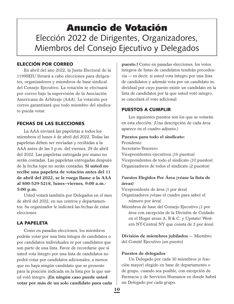## Anuncio de Votación Elección 2022 de Dirigentes, Organizadores, Miembros del Consejo Ejecutivo y Delegados

## ELECCIÓN POR CORREO

En abril del ano 2022, la Junta Electoral de la 1199SEIU llevará a cabo elecciones para dirigentes, organizadores y miembros de base sindical del Consejo Ejecutivo. La votación se efectuará por correo bajo la supervisión de la Asociación Americana de Arbitraje (AAA). La votación por correo garantizará que todo miembro del sindicato pueda votar.

## FECHAS DE LAS ELECCIONES

La AAA enviará las papeletas a todos los miembros el lunes 4 de abril del 2022. Todas las papeletas deben ser enviadas y recibidas a la AAA antes de las 5 p.m. del viernes, 29 de abril del 2022. Las papeletas entregada por mano no serán contadas. Las papeletas entregadas después de la fecha tope no serán contadas. **Si usted no recibe una papeleta de votación antes del 11 de abril del 2022, se le ruega llame a la AAA al 800-529-5218, lunes–viernes, 9:00 a.m.- 5:00 p.m.**

Usted votará también por Delegados en el mes de abril del 2022, en sus centros y departamentos. Su organizador le indicará las fechas de estas elecciones.

## LA PAPELETA

Como en pasadas elecciones, los miembros podrán votar por una lista íntegra de candidatos o por candidatos individuales or por candidatos que son parte de una lista. Favor de recordarse que si usted vota íntegro por una lista de candidatos no podrá votar por candidatos adicionales, a menos que no haya ningún candidato que se presente para la posición indicada en la lista por la que usted votó íntegro. **(En ningún caso puede usted votar por más de un solo candidato para cada**  **puesto.)** Como en pasadas elecciones, los votos íntegros de listas de candidatos tendrán precedencia — es decir, si usted vota íntegro por una lista de candidatos y además vota por un candidato individual por cuyo puesto existe un candidato en la lista de candidatos por la que usted votó integro, se cancelará el voto adicional.

## PUESTOS A CUMPLIR

Los siguientes puestos son los que se votarán en esta elección. (Una descripción de cada área aparece en el cuadro adjunto.)

### **Puestos para todo el sindicato:**

Presidente Secretario-Tesorero Vicepresidentes ejecutivos (16 puestos) Vicepresidentes de todo el sindicato (10 puestos) Organizadores de todos el sindicato (2 puestos)

## P**uestos Elegidos Por Área (véase la lista de áreas)**

Vicepresidente de área (1 por área) Organizadores (véase el cuadro para saber el número por área)

Miembros de base del Consejo Ejecutivo (1 por área con excepción de la División de Cuidado en el Hogar areas A, B & C, y Upstate/ Western NY-Central NY que consta de 2 por área)

**División de miembros jubilados** — Miembro del Comité Ejecutivo (un puesto)

## **Puestos de delegados**

Un Delegado por cada 30 miembros (o fracción mayor) elegido en base de departamento o de grupo, cuando sea posible, con excepción de Farmacia y de Servicios Humanos en donde habrá un Delegado por cada grupo.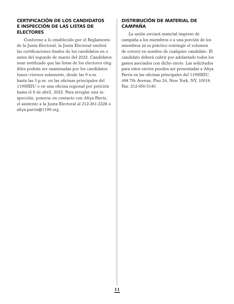## CERTIFICACIÓN DE LOS CANDIDATOS E INSPECCIÓN DE LAS LISTAS DE ELECTORES

Conforme a lo establecido por el Reglamento de la Junta Electoral, la Junta Electoral emitirá las certificaciones finales de los candidatos en o antes del segundo de marzo del 2022. Candidatos sean notificado que las listas de los electores elegibles podrán ser examinadas por los candidatos lunes–viernes solamente, desde las 9 a.m. hasta las 5 p.m. en las oficinas principales del 1199SEIU o en una oficina regional por petición hasta el 8 de abril, 2022. Para arreglar una inspección, ponerse en contacto con Afiya Parris, el asistente a la Junta Electoral al 212-261-2228 o afiya.parris@1199.org.

## DISTRIBUCIÓN DE MATERIAL DE CAMPAÑA

La unión enviará material impreso de campaña a los miembros o a una porción de los miembros (si es práctico restringir el volumen de correo) en nombre de cualquier candidato. El candidato deberá cubrir por adelantado todos los gastos asociados con dicho envío. Las solicitudes para estos envíos pueden ser presentadas a Afiya Parris en las oficinas principales del 1199SEIU, 498 7th Avenue, Piso 24, New York, NY, 10018. Fax: 212-956-5140.